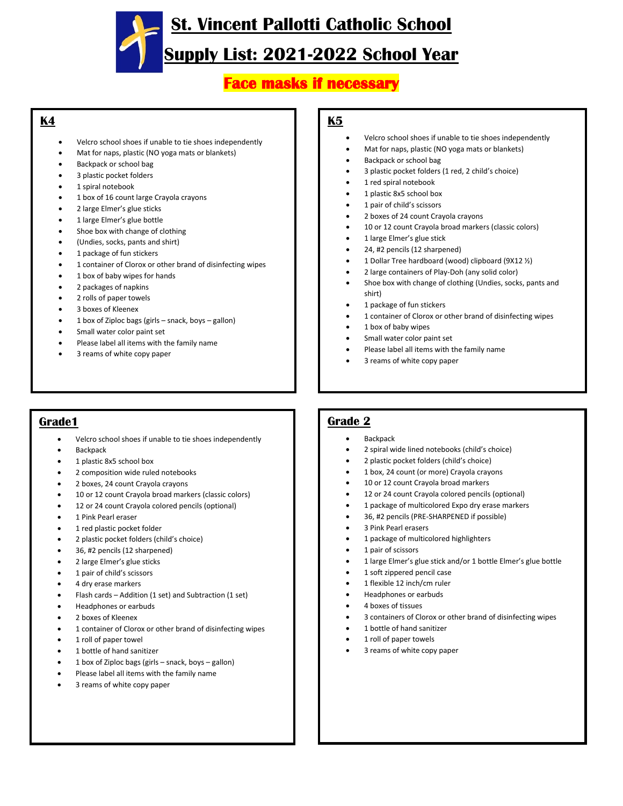**St. Vincent Pallotti Catholic School** 

## **Supply List: 2021-2022 School Year**

### **Face masks if necessary**

#### **K4**

- Velcro school shoes if unable to tie shoes independently
- Mat for naps, plastic (NO yoga mats or blankets)
- Backpack or school bag
- 3 plastic pocket folders
- 1 spiral notebook
- 1 box of 16 count large Crayola crayons
- 2 large Elmer's glue sticks
- 1 large Elmer's glue bottle
- Shoe box with change of clothing
- (Undies, socks, pants and shirt)
- 1 package of fun stickers
- 1 container of Clorox or other brand of disinfecting wipes
- 1 box of baby wipes for hands
- 2 packages of napkins
- 2 rolls of paper towels
- 3 boxes of Kleenex
- 1 box of Ziploc bags (girls snack, boys gallon)
- Small water color paint set
- Please label all items with the family name
- 3 reams of white copy paper

#### **K5**

- Velcro school shoes if unable to tie shoes independently
- Mat for naps, plastic (NO yoga mats or blankets)
- Backpack or school bag
- 3 plastic pocket folders (1 red, 2 child's choice)
- 1 red spiral notebook
- 1 plastic 8x5 school box
- 1 pair of child's scissors
- 2 boxes of 24 count Crayola crayons
- 10 or 12 count Crayola broad markers (classic colors)
- 1 large Elmer's glue stick
- 24, #2 pencils (12 sharpened)
- 1 Dollar Tree hardboard (wood) clipboard (9X12 ½)
- 2 large containers of Play-Doh (any solid color)
- Shoe box with change of clothing (Undies, socks, pants and shirt)
- 1 package of fun stickers
- 1 container of Clorox or other brand of disinfecting wipes
- 1 box of baby wipes
- Small water color paint set
- Please label all items with the family name
- 3 reams of white copy paper

### **Grade1**

- Velcro school shoes if unable to tie shoes independently
- **Backpack**
- 1 plastic 8x5 school box
- 2 composition wide ruled notebooks
- 2 boxes, 24 count Crayola crayons
- 10 or 12 count Crayola broad markers (classic colors)
- 12 or 24 count Crayola colored pencils (optional)
- 1 Pink Pearl eraser
- 1 red plastic pocket folder
- 2 plastic pocket folders (child's choice)
- 36, #2 pencils (12 sharpened)
- 2 large Elmer's glue sticks
- 1 pair of child's scissors
- 4 dry erase markers
- Flash cards Addition (1 set) and Subtraction (1 set)
- Headphones or earbuds
- 2 boxes of Kleenex
- 1 container of Clorox or other brand of disinfecting wipes
- 1 roll of paper towel
- 1 bottle of hand sanitizer
- 1 box of Ziploc bags (girls snack, boys gallon)
- Please label all items with the family name
- 3 reams of white copy paper

**Backpack** 

**Grade 2**

- 2 spiral wide lined notebooks (child's choice)
- 2 plastic pocket folders (child's choice)
- 1 box, 24 count (or more) Crayola crayons
- 10 or 12 count Crayola broad markers
- 12 or 24 count Crayola colored pencils (optional)
- 1 package of multicolored Expo dry erase markers
- 36, #2 pencils (PRE-SHARPENED if possible)
- 3 Pink Pearl erasers
- 1 package of multicolored highlighters
- 1 pair of scissors
- 1 large Elmer's glue stick and/or 1 bottle Elmer's glue bottle
- 1 soft zippered pencil case
- 1 flexible 12 inch/cm ruler
- Headphones or earbuds
- 4 boxes of tissues
- 3 containers of Clorox or other brand of disinfecting wipes
- 1 bottle of hand sanitizer
- 1 roll of paper towels
- 3 reams of white copy paper